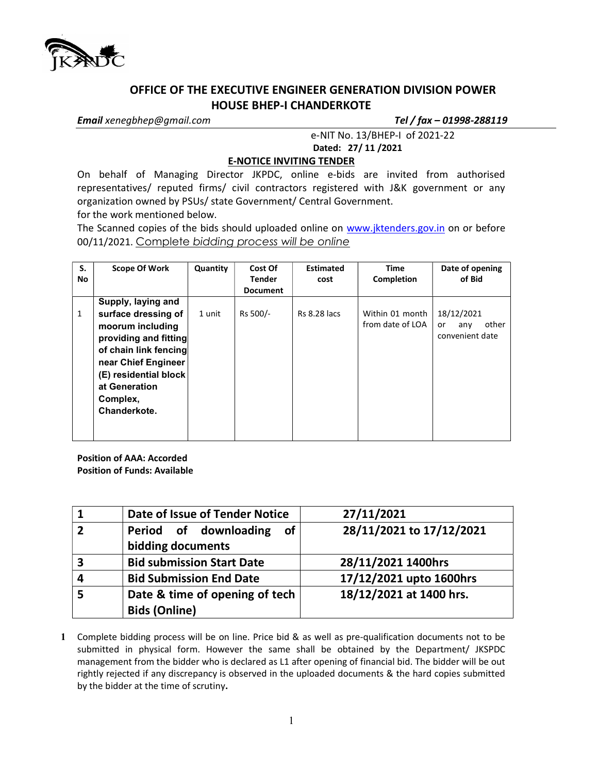

## OFFICE OF THE EXECUTIVE ENGINEER GENERATION DIVISION POWER HOUSE BHEP-I CHANDERKOTE

Email xenegbhep@gmail.com Tel / fax - 01998-288119

 e-NIT No. 13/BHEP-I of 2021-22 Dated: 27/ 11 /2021

## E-NOTICE INVITING TENDER

On behalf of Managing Director JKPDC, online e-bids are invited from authorised representatives/ reputed firms/ civil contractors registered with J&K government or any organization owned by PSUs/ state Government/ Central Government.

for the work mentioned below.

The Scanned copies of the bids should uploaded online on www.jktenders.gov.in on or before 00/11/2021. Complete bidding process will be online

| S.<br>No | <b>Scope Of Work</b>                                                                                                                                                                                         | Quantity | Cost Of<br><b>Tender</b><br><b>Document</b> | <b>Estimated</b><br>cost | <b>Time</b><br>Completion           | Date of opening<br>of Bid                                  |
|----------|--------------------------------------------------------------------------------------------------------------------------------------------------------------------------------------------------------------|----------|---------------------------------------------|--------------------------|-------------------------------------|------------------------------------------------------------|
| 1        | Supply, laying and<br>surface dressing of<br>moorum including<br>providing and fitting<br>of chain link fencing<br>near Chief Engineer<br>(E) residential block<br>at Generation<br>Complex,<br>Chanderkote. | 1 unit   | Rs 500/-                                    | <b>Rs 8.28 lacs</b>      | Within 01 month<br>from date of LOA | 18/12/2021<br>other<br><b>or</b><br>any<br>convenient date |

Position of AAA: Accorded Position of Funds: Available

|   | Date of Issue of Tender Notice                         | 27/11/2021               |  |  |
|---|--------------------------------------------------------|--------------------------|--|--|
|   | Period of downloading<br>of<br>bidding documents       | 28/11/2021 to 17/12/2021 |  |  |
| 3 | <b>Bid submission Start Date</b>                       | 28/11/2021 1400hrs       |  |  |
|   | <b>Bid Submission End Date</b>                         | 17/12/2021 upto 1600hrs  |  |  |
|   | Date & time of opening of tech<br><b>Bids (Online)</b> | 18/12/2021 at 1400 hrs.  |  |  |

1 Complete bidding process will be on line. Price bid & as well as pre-qualification documents not to be submitted in physical form. However the same shall be obtained by the Department/ JKSPDC management from the bidder who is declared as L1 after opening of financial bid. The bidder will be out rightly rejected if any discrepancy is observed in the uploaded documents & the hard copies submitted by the bidder at the time of scrutiny.